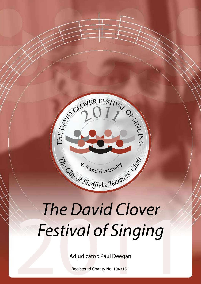

# The David Clover<br>Festival of Singing<br>Adjudicator: Paul Deegan *The David Clover Festival of Singing*

Adjudicator: Paul Deegan

Registered Charity No. 1043131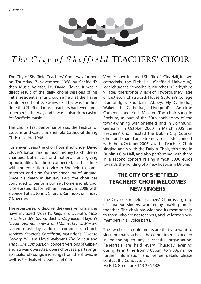

# The  $City$  of  $Sheffield$  TEACHERS' CHOIR

The City of Sheffield Teachers' Choir was formed on Thursday, 7 November, 1968 by Sheffield's then Music Adviser, Dr. David Clover. It was a direct result of the daily choral sessions of his initial residential music course held at the Hayes Conference Centre, Swanwick. This was the first time that Sheffield music teachers had ever come together in this way and it was a historic occasion for Sheffield music.

The choir's first performance was the Festival of Lessons and Carols in Sheffield Cathedral during Christmastide 1968.

For eleven years the choir flourished under David Clover's baton, raising much money for children's charities, both local and national, and giving opportunities for those connected, at that time, with the education service in Sheffield to come together and sing for the sheer joy of singing. Since his death in January 1979 the choir has continued to perform both at home and abroad. It celebrated its fortieth anniversary in 2008 with a concert at St. John's Church, Ranmoor, on Friday 7 November.

The repertoire is wide. Over the years performances have included Mozart's *Requiem,* Dvorak's *Mass in D,* Vivaldi's *Gloria,* Bach's *Magnificat,* Haydn's *Nelson, Harmoniemesse and Maria Theresa Masses*, sacred music by various composers, church services, Stainer's *Crucifixion,* Maunder's *Olivet to Calvary,* William Lloyd Webber's *The Saviour* and *The Divine Compassion*, concert versions of Gilbert and Sulivan operettas, opera choruses, part songs, spirtuals, folk songs and songs from the shows, as well as Festivals of Lessons and Carols.

Venues have included Sheffield's City Hall, its two cathedrals, the Firth Hall (Sheffield University), local churches, school halls, churches in Derbyshire villages, the 'Bronte' village of Haworth, the village of Castleton, Chatsworth House, St. John's College (Cambridge), Fountains Abbey, Ely Cathedral, Wakefield Cathedral, Liverpool's Anglican Cathedral and York Minster. The choir sang in Bochum, as part of the 50th anniversary of the town-twinning with Sheffield, and in Dortmund, Germany, in October 2000. In March 2005 the Teachers' Choir hosted the Dublin City Council Choir and shared an extremely successful concert with them. October 2005 saw the Teachers' Choir singing again with the Dublin Choir, this time in Dublin's City Hall, and also performing with them in a second concert raising almost 5000 euros towards the building of a new hospice in Dublin.

### **THE CITY OF SHEFFIELD TEACHERS' CHOIR WELCOMES NEW SINGERS**

The City of Sheffield Teachers' Choir is a group of amateur singers who enjoy making music together. The choir has widened its membership to those who are not teachers, and welcomes new members in all voice parts.

The two basic requirements are that you want to sing and that you have the commitment expected in belonging to any successful organisation. Rehearsals are held every Thursday evening during term time from 7.00p.m. to 9.00p.m. For further information and venue details please contact the Conductor:

Mr R. D. Green on 0113 256 5320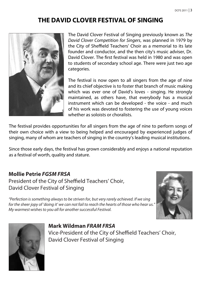# **THE David Clover Festival of Singing**



The David Clover Festival of Singing previously known as *The David Clover Competition for Singers*, was planned in 1979 by the City of Sheffield Teachers' Choir as a memorial to its late founder and conductor, and the then city's music adviser, Dr. David Clover. The first festival was held in 1980 and was open to students of secondary school age. There were just two age categories.

The festival is now open to all singers from the age of nine and its chief objective is to foster that branch of music making which was ever one of David's loves - singing. He strongly maintained, as others have, that everybody has a musical instrument which can be developed - the voice - and much of his work was devoted to fostering the use of young voices whether as soloists or choralists.

The festival provides opportunities for all singers from the age of nine to perform songs of their own choice with a view to being helped and encouraged by experienced judges of singing, many of whom are teachers of singing in the country's leading musical institutions.

Since those early days, the festival has grown considerably and enjoys a national reputation as a festival of worth, quality and stature.

### **Mollie Petrie** *FGSM FRSA*

President of the City of Sheffield Teachers' Choir, David Clover Festival of Singing

*"Perfection is something always to be striven for, but very rarely achieved. If we sing for the sheer jopy of 'doing it' we can not fail to reach the hearts of those who hear us." My warmest wishes to you all for another successful Festival.*





**Mark Wildman** *FRAM FRSA*  Vice-President of the City of Sheffield Teachers' Choir, David Clover Festival of Singing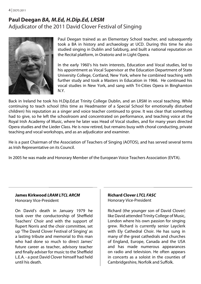```
4 | DCFS 2011
```
## **Paul Deegan** *BA, M.Ed, H.Dip.Ed, LRSM*  Adjudicator of the 2011 David Clover Festival of Singing



Paul Deegan trained as an Elementary School teacher, and subsequently took a BA in history and archaeology at UCD. During this time he also studied singing in Dublin and Salzburg, and built a national reputation on the Recital platform, in Oratorio and in Light Opera.

In the early 1960's his twin interests, Education and Vocal studies, led to his appointment as Vocal Supervisor at the Education Department of State University College, Cortland, New York, where he combined teaching with further study and took a Masters in Education in 1966. He continued his vocal studies in New York, and sang with Tri-Cities Opera in Binghamton N.Y.

Back in Ireland he took his H.Dip.Ed.at Trinity College Dublin, and an LRSM in vocal teaching. While continuing to teach school (this time as Headmaster of a Special School for emotionally disturbed children) his reputation as a singer and voice teacher continued to grow. It was clear that something had to give, so he left the schoolroom and concentrated on performance, and teaching voice at the Royal Irish Academy of Music, where he later was Head of Vocal studies, and for many years directed Opera studies and the Lieder Class. He is now retired, but remains busy with choral conducting, private teaching and vocal workshops, and as an adjudicator and examiner.

He is a past Chairman of the Association of Teachers of Singing (AOTOS), and has served several terms as Irish Representative on its Council.

In 2005 he was made and Honorary Member of the European Voice Teachers Association (EVTA).

#### **James Kirkwood** *LRAM LTCL ARCM* Honorary Vice-President

On David's death in January 1979 he took over the conductorship of Sheffield Teachers' Choir and with the support of Rupert Norris and the choir committee, set up 'The David Clover Festival of Singing' as a lasting tribute and memorial to this man who had done so much to direct James' future career as teacher, advisory teacher and finally adviser for music to the Sheffield L.E.A. - a post David Clover himself had held until his death.

### **Richard Clover** *LTCL FASC* Honorary Vice-President

Richard (the younger son of David Clover) like David attended Trinity College of Music, London where his own passion for singing grew. Richard is currently senior Layclerk with Ely Cathedral Choir. He has sung in many of the great cathedrals and churches of England, Europe, Canada and the USA and has made numerous appearances on radio and television. He often appears in concerts as a soloist in the counties of Cambridgeshire, Norfolk and Suffolk.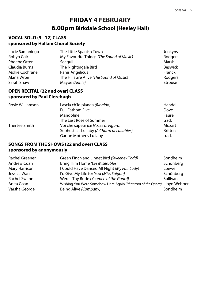# **FRIDAY 4 FEBRUARY 6.00pm Birkdale School (Heeley Hall)**

### **VOCAL SOLO (9 - 12) CLASS sponsored by Hallam Choral Society**

| Lucie Samaniego | The Little Spanish Town                  | Jenkyns        |
|-----------------|------------------------------------------|----------------|
| Robyn Gair      | My Favourite Things (The Sound of Music) | Rodgers        |
| Phoebe Otten    | Seagull                                  | Marsh          |
| Claudia Burns   | The Nightingale Bird                     | <b>Beswick</b> |
| Mollie Cochrane | Panis Angelicus                          | Franck         |
| Alana Wroe      | The Hills are Alive (The Sound of Music) | Rodgers        |
| Sarah Shaw      | Maybe (Annie)                            | Strouse        |

### **OPEN RECITAL (22 and over) CLASS sponsored by Paul Clerehugh**

| Rosie Williamson | Lascia ch'io pianga (Rinaldo)              | Handel         |
|------------------|--------------------------------------------|----------------|
|                  | <b>Full Fathom Five</b>                    | Dove           |
|                  | Mandoline                                  | Fauré          |
|                  | The Last Rose of Summer                    | trad.          |
| Thérèse Smith    | Voi che sapete (Le Nozze di Figaro)        | Mozart         |
|                  | Sephestia's Lullaby (A Charm of Lullabies) | <b>Britten</b> |
|                  | Gartan Mother's Lullaby                    | trad.          |

### **SONGS FROM THE SHOWS (22 and over) CLASS sponsored by anonymously**

| Rachel Greener | Green Finch and Linnet Bird (Sweeney Todd)                              | Sondheim  |
|----------------|-------------------------------------------------------------------------|-----------|
| Andrew Coan    | Bring Him Home (Les Misérables)                                         | Schönberg |
| Mary Harrison  | I Could Have Danced All Night (My Fair Lady)                            | Loewe     |
| Jessica Wan    | I'd Give My Life for You (Miss Saigon)                                  | Schönberg |
| Rachel Swann   | Were I Thy Bride (Yeomen of the Guard)                                  | Sullivan  |
| Anita Coan     | Wishing You Were Somehow Here Again (Phantom of the Opera) Lloyd Webber |           |
| Varsha George  | Being Alive (Company)                                                   | Sondheim  |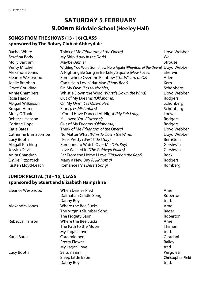# **SATURDAY 5 FEBRUARY 9.00am Birkdale School (Heeley Hall)**

### **SONGS FROM THE SHOWS (13 - 16) CLASS sponsored by The Rotary Club of Abbeydale**

| <b>Rachel White</b>    | Think of Me (Phantom of the Opera)                                      | Lloyd Webber |
|------------------------|-------------------------------------------------------------------------|--------------|
| Serafina Body          | My Ship (Lady in the Dark)                                              | Weill        |
| <b>Molly Bartram</b>   | Maybe (Annie)                                                           | Strouse      |
| <b>Verity Mitchell</b> | Wishing You Were Somehow Here Again (Phantom of the Opera) Lloyd Webber |              |
| Alexandra Jones        | A Nightingale Sang in Berkeley Square (New Faces)                       | Sherwin      |
| Eleanor Westwood       | Somewhere Over the Rainbow (The Wizard of Oz)                           | Arlen        |
| Joelle Brabban         | Can't Help Lovin' dat Man (Show Boat)                                   | Kern         |
| Grace Goulding         | On My Own (Les Misérables)                                              | Schönberg    |
| <b>Annie Chambers</b>  | Whistle Down the Wind (Whistle Down the Wind)                           | Lloyd Webber |
| Rosa Hardy             | Out of My Dreams (Oklahoma)                                             | Rodgers      |
| Abigail Wilkinson      | On My Own (Les Misérables)                                              | Schönberg    |
| Brogan Hume            | Stars (Les Misérables)                                                  | Schönberg    |
| Molly O'Toole          | I Could Have Danced All Night (My Fair Lady)                            | Loewe        |
| Rebecca Hanson         | If I Loved You (Carousel)                                               | Rodgers      |
| Corinne Hope           | Out of My Dreams (Oklahoma)                                             | Rodgers      |
| <b>Katie Bates</b>     | Think of Me (Phantom of the Opera)                                      | Lloyd Webber |
| Catherine Brimacombe   | No Matter What (Whistle Down the Wind)                                  | Lloyd Webber |
| Lucy Booth             | I Feel Pretty (West Side Story)                                         | Bernstein    |
| Abigail Kitching       | Someone to Watch Over Me (Oh, Kay)                                      | Gershwin     |
| Jessica Davis          | Love Walked In (The Goldwyn Follies)                                    | Gershwin     |
| Anita Chandran         | Far From the Home I Love (Fiddler on the Roof)                          | <b>Bock</b>  |
| Emilie Fitzpatrick     | Many a New Day (Oklahoma)                                               | Rodgers      |
| Kirsten Lloyd-Leach    | Romance (The Desert Song)                                               | Romberg      |

### **JUNIOR RECITAL (13 - 15) CLASS sponsored by Stuart and Elizabeth Hampshire**

| Eleanor Westwood | <b>When Daisies Pied</b>  | Arne              |
|------------------|---------------------------|-------------------|
|                  | Dalmatian Cradle Song     | Roberton          |
|                  | Danny Boy                 | trad.             |
| Alexandra Jones  | Where the Bee Sucks       | Arne              |
|                  | The Virgin's Slumber Song | Reger             |
|                  | The Fidgety Bairn         | Roberton          |
| Rebecca Hanson   | Where the Bee Sucks       | Arne              |
|                  | The Path to the Moon      | Thiman            |
|                  | My Lagan Love             | trad.             |
| Katie Bates      | Caro mio ben              | Giordani          |
|                  | <b>Pretty Flower</b>      | <b>Bailey</b>     |
|                  | My Lagan Love             | trad.             |
| Lucy Booth       | Se tu m'ami               | Pergolesi         |
|                  | Sleep Little Babe         | Christopher Field |
|                  | Danny Boy                 | trad.             |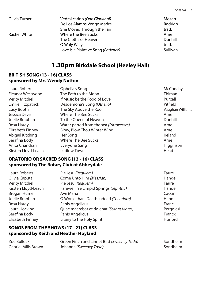| Olivia Turner | Vedrai carino (Don Giovanni)        | Mozart   |
|---------------|-------------------------------------|----------|
|               | De Los Alamos Vengo Madre           | Rodrigo  |
|               | She Moved Through the Fair          | trad.    |
| Rachel White  | Where the Bee Sucks                 | Arne     |
|               | The Cloths of Heaven                | Dunhill  |
|               | O Waly Waly                         | trad.    |
|               | Love is a Plaintive Song (Patience) | Sullivan |

## **1.30pm Birkdale School (Heeley Hall)**

### **BRITISH SONG (13 - 16) CLASS sponsored by Mrs Wendy Nutton**

| Laura Roberts             | Ophelia's Song                          | McConchy         |
|---------------------------|-----------------------------------------|------------------|
| Eleanor Westwood          | The Path to the Moon                    | Thiman           |
| <b>Verity Mitchell</b>    | If Music be the Food of Love            | Purcell          |
| <b>Emilie Fitzpatrick</b> | Desdemona's Song (Othello)              | Pitfield         |
| Lucy Booth                | The Sky Above the Roof                  | Vaughan Williams |
| Jessica Davis             | Where The Bee Sucks                     | Arne             |
| Joelle Brabban            | To the Oueen of Heaven                  | Dunhill          |
| Rosa Hardy                | Water parted from the sea ((Artaxerxes) | Arne             |
| Elizabeth Finney          | Blow, Blow Thou Winter Wind             | Arne             |
| Abigail Kitching          | Her Song                                | Ireland          |
| Serafina Body             | <b>Where The Bee Sucks</b>              | Arne             |
| Anita Chandran            | Everyone Sang                           | Higginson        |
| Kirsten Lloyd-Leach       | Ludlow Town                             | Head             |

### **ORATORIO OR SACRED SONG (13 - 16) CLASS sponsored by The Rotary Club of Abbeydale**

| Laura Roberts       | Pie Jesu (Requiem)                      | Fauré     |
|---------------------|-----------------------------------------|-----------|
| Olivia Caputa       | Come Unto Him (Messiah)                 | Handel    |
| Verity Mitchell     | Pie Jesu (Requiem)                      | Fauré     |
| Kirsten Lloyd-Leach | Farewell, Ye Limpid Springs (Jephtha)   | Handel    |
| Brogan Hume         | Ave Maria                               | Caccini   |
| Joelle Brabban      | O Worse than Death Indeed (Theodora)    | Handel    |
| Rosa Hardy          | Panis Angelicus                         | Franck    |
| Laura Hocking       | Quae maerebat et dolebat (Stabat Mater) | Pergolesi |
| Serafina Body       | Panis Angelicus                         | Franck    |
| Elizabeth Finney    | Litany to the Holy Spirit               | Hurford   |

### **songs from the shows (17 - 21) CLASS sponsored by Keith and Heather Hoyland**

| Zoe Bullock         | Green Finch and Linnet Bird (Sweeney Todd) | Sondheim |
|---------------------|--------------------------------------------|----------|
| Gabriel Mills Brown | Johanna (Sweeney Todd)                     | Sondheim |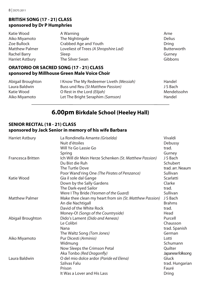### **BRITISH SONG (17 - 21) CLASS sponsored by Dr P Humphries**

| Katie Wood             | A Warning                             | Arne        |
|------------------------|---------------------------------------|-------------|
| Aiko Miyamoto          | The Nightingale                       | Delius      |
| Zoe Bullock            | Crabbed Age and Youth                 | Dring       |
| <b>Matthew Palmer</b>  | Loveliest of Trees (A Shropshire Lad) | Butterworth |
| Rachel Barry           | Sleep                                 | Gurney      |
| <b>Harriet Astbury</b> | The Silver Swan                       | Gibbons     |
|                        |                                       |             |

### **ORATORIO OR SACRED SONG (17 - 21) CLASS sponsored by Millhouse Green Male Voice Choir**

| Abigail Broughton | I Know The My Redeemer Liveth (Messiah) | Handel      |
|-------------------|-----------------------------------------|-------------|
| Laura Baldwin     | Buss und Reu (St Matthew Passion)       | J S Bach    |
| Katie Wood        | O Rest in the Lord (Elijah)             | Mendelssohn |
| Aiko Miyamoto     | Let The Bright Seraphim (Samson)        | Handel      |
|                   |                                         |             |

# **6.00pm Birkdale School (Heeley Hall)**

### **SENIOR RECITAL (18 - 21) CLASS sponsored by Jack Senior in memory of his wife Barbara**

| <b>Harriet Astbury</b>   | La Rondinella Amante (Griselda)                         | Vivaldi           |
|--------------------------|---------------------------------------------------------|-------------------|
|                          | Nuit d'étoiles                                          | Debussy           |
|                          | Will Ye Go Lassie Go                                    | trad.             |
|                          | Spring                                                  | Gurney            |
| <b>Francesca Britten</b> | Ich Will dir Mein Herze Schenken (St. Matthew Passion)  | J S Bach          |
|                          | Du Bist die Ruh                                         | Schubert          |
|                          | The Turtle Dove                                         | trad. arr. Neaum  |
|                          | Poor Wand'ring One (The Pirates of Penzance)            | Sullivan          |
| Katie Wood               | Gia il sole dal Gange                                   | Scarlatti         |
|                          | Down by the Sally Gardens                               | Clarke            |
|                          | The Dark-eyed Sailor                                    | trad.             |
|                          | Were I Thy Bride (Yeomen of the Guard)                  | Sullivan          |
| <b>Matthew Palmer</b>    | Make thee clean my heart from sin (St. Matthew Passion) | J S Bach          |
|                          | An die Nachtigall                                       | <b>Brahms</b>     |
|                          | David of the White Rock                                 | trad.             |
|                          | Money-O! (Songs of the Countryside)                     | Head              |
| Abigail Broughton        | Dido's Lament (Dido and Aeneas)                         | Purcell           |
|                          | Le Colibri                                              | Chausson          |
|                          | Nana                                                    | trad. Spanish     |
|                          | The Waltz Song (Tom Jones)                              | German            |
| Aiko Miyamoto            | Pur Dicesti (Arminio)                                   | Lotti             |
|                          | Widmung                                                 | Schumann          |
|                          | Now Sleeps the Crimson Petal                            | Ouilter           |
|                          | Aka Tonbo (Red Dragonfly)                               | Japanese folksong |
| Laura Baldwin            | O del mio dolce ardor (Paride ed Elena)                 | Gluck             |
|                          | Szilvas Falu                                            | trad. Hungarian   |
|                          | Prison                                                  | Fauré             |
|                          | It Was a Lover and His Lass                             | Dring             |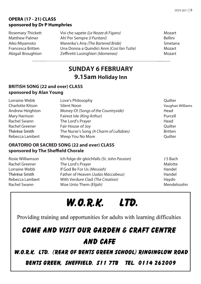### **OPERA (17 - 21) CLASS sponsored by Dr P Humphries**

Rosemary Thickett Voi che sapete *(Le Nozze di Figaro)* Mozart Matthew Palmer Ah! Per Sempre *(I Puritani)* Bellini Aiko Miyamoto **Marenka's Aria** *(The Bartered Bride)* Smetana<br>Arancesca Britten **Martia Commania Auindici Anni** *(Così fan Tutte***) Martia Martia Martia (Così fan Tutte)** Francesca Britten Una Donna a Quindici Anni *(Così fan Tutte)* Mozart Abigail Broughton Zeffiretti Lusinghieri *(Idomeneo)* Mozart

# **SUNDAY 6 FEBRUARY 9.15am Holiday Inn**

### **BRITISH SONG (22 and over) CLASS sponsored by Alan Young**

| Love's Philosophy                       | Ouilter          |
|-----------------------------------------|------------------|
| Silent Noon                             | Vaughan Williams |
| Money-O! (Songs of the Countryside)     | Head             |
| Fairest Isle (King Arthur)              | Purcell          |
| The Lord's Prayer                       | Head             |
| Fair House of Joy                       | Ouilter          |
| The Nurse's Song (A Charm of Lullabies) | <b>Britten</b>   |
| Weep You No More                        | Ouilter          |
|                                         |                  |

### **ORATORIO OR SACRED SONG (22 and over) CLASS sponsored by The Sheffield Chorale**

| Rosie Williamson | Ich folge dir gleichfalls (St. John Passion) | J S Bach    |
|------------------|----------------------------------------------|-------------|
| Rachel Greener   | The Lord's Prayer                            | Malotte     |
| Lorraine Webb    | If God Be For Us (Messiah)                   | Handel      |
| Thérèse Smith    | Father of Heaven (Judas Maccabeus)           | Handel      |
| Rebecca Lambert  | With Verdure Clad (The Creation)             | Havdn       |
| Rachel Swann     | Woe Unto Them (Elijah)                       | Mendelssohn |

# **W.O.R.K. LTD.**

Providing training and opportunities for adults with learning difficulties

# COME AND VISIT OUR GARDEN & CRAFT CENTRE AND CAFE

W.O.R.K. LTD. (REAR OF BENTS GREEN SCHOOL) RINGINGLOW ROAD

BENTS GREEN, SHEFFIELD. S11 7TB TEL. 0114 262009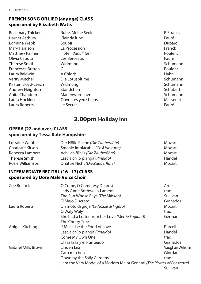### **FRENCH SONG OR LIED (any age) CLASS sponsored by Elizabeth Watts**

| <b>Rosemary Thickett</b> | Ruhe, Meine Seele    | <b>R</b> Strauss |
|--------------------------|----------------------|------------------|
| <b>Harriet Astbury</b>   | Clair de lune        | Fauré            |
| Lorraine Webb            | Soupir               | Duparc           |
| Mary Harrison            | La Procession        | Franck           |
| <b>Matthew Palmer</b>    | Hôtel (Banallités)   | Poulenc          |
| Olivia Caputa            | Les Berceaux         | Fauré            |
| Thérèse Smith            | Widmung              | Schumann         |
| <b>Francesca Britten</b> |                      | Poulenc          |
| Laura Baldwin            | A Chloris            | Hahn             |
| <b>Verity Mitchell</b>   | Die Lotusblume       | Schumann         |
| Kirsten Lloyd-Leach      | Widmung              | Schumann         |
| Andrew Heighton          | Ständchen            | Schubert         |
| Anita Chandran           | Marienwürnchen       | Schumann         |
| Laura Hocking            | Ouvre tes yeuz bleus | Massenet         |
| Laura Roberts            | Le Secret            | Fauré            |
|                          |                      |                  |

# **2.00pm Holiday Inn**

### **OPERA (22 and over) CLASS sponsored by Tessa Kate Hampshire**

| Lorraine Webb    | Der Hölle Rache (Die Zauberflöte)   | Mozart |
|------------------|-------------------------------------|--------|
| Charlotte Kitson | Smanie implacabili (Così fan tutte) | Mozart |
| Rebecca Lambert  | Ach, ich fühl's (Die Zauberflöte)   | Mozart |
| Thérèse Smith    | Lascia ch'io pianga (Rinaldo)       | Handel |
| Rosie Williamson | O Zittre Nicht (Die Zauberflöte)    | Mozart |

### **INTERMEDIATE RECITAL (16 - 17) CLASS sponsored by Dore Male Voice Choir**

| Zoe Bullock                | O Come, O Come, My Dearest                                              | Arne             |
|----------------------------|-------------------------------------------------------------------------|------------------|
|                            | Lady Anne Bothwell's Lament                                             | trad.            |
|                            | The Sun Whose Rays (The Mikado)                                         | Sullivan         |
|                            | El Majo Discreto                                                        | Granados         |
| Laura Roberts              | Un moto di gioja (Le Nozze di Figaro)                                   | Mozart           |
|                            | O Waly Waly                                                             | trad.            |
|                            | She had a Letter from her Love (Merrie England)                         | German           |
|                            | The Cherry Tree                                                         |                  |
| Abigail Kitching           | If Music be the Food of Love                                            | Purcell          |
|                            | Lascia ch'io pianga (Rinaldo)                                           | Handel           |
|                            | Come My Own One                                                         | trad.            |
|                            | El Tra la la y el Punteado                                              | Granados         |
| <b>Gabriel Mills Brown</b> | Linden Lea                                                              | Vaughan Williams |
|                            | Caro mio ben                                                            | Giordani         |
|                            | Down by the Sally Gardens                                               | trad.            |
|                            | I am the Very Model of a Modern Major General (The Pirates of Penzance) |                  |
|                            |                                                                         | Sullivan         |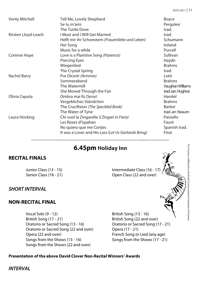| <b>Verity Mitchell</b> | Tell Me, Lovely Shepherd                             | <b>Boyce</b>        |
|------------------------|------------------------------------------------------|---------------------|
|                        | Se tu m'ami                                          | Pergolesi           |
|                        | The Turtle Dove                                      | trad.               |
| Kirsten Lloyd-Leach    | <b>I Must and I Will Get Married</b>                 | trad.               |
|                        | Helft mir ihr Schwestern (Frauenliebe und Leben)     | Schumann            |
|                        | Her Song                                             | Ireland             |
|                        | Music for a while                                    | Purcell             |
| Corinne Hope           | Love is a Plaintive Song (Patience)                  | Sullivan            |
|                        | <b>Piercing Eyes</b>                                 | Haydn               |
|                        | Wiegenlied                                           | <b>Brahms</b>       |
|                        | The Crystal Spring                                   | trad.               |
| Rachel Barry           | Pur Dicesti (Arminio)                                | Lotti               |
|                        | Sommerabend                                          | <b>Brahms</b>       |
|                        | The Watermill                                        | Vaughan Williams    |
|                        | She Moved Through the Fair                           | trad. (arr. Hughes) |
| Olivia Caputa          | Ombra mai fù (Serse)                                 | Handel              |
|                        | Vergebliches Ständchen                               | <b>Brahms</b>       |
|                        | The Crucifixion (The Speckled Book)                  | <b>Barber</b>       |
|                        | The Water of Tyne                                    | trad. arr. Neaum    |
| Laura Hocking          | Chi vuol la Zingarella ( <i>I Zingari in Fiera</i> ) | Paisiello           |
|                        | Les Roses d'Ispahan                                  | Fauré               |
|                        | No quiero que me Cortjes                             | Spanish trad.       |
|                        | It was a Lover and His Lass (Let Us Garlands Bring)  | Finzi               |
|                        |                                                      |                     |

# **6.45pm Holiday Inn**

### **RECITAL FINALS**

Junior Class (13 - 15) Intermediate Class (16 - 17 Senior Class (18 - 21) Channels Class (22 and over)

### *SHORT INTERVAL*

### **NON-RECITAL FINAL**

Vocal Solo (9 - 12) British Song (13 - 16) British Song (17 - 21) British Song (22 and over) Oratorio or Sacred Song (13 - 16) Oratorio or Sacred Song (17 - 21) Oratorio or Sacred Song (22 and over) Opera (17 - 21) Opera (22 and over) French Song or Lied (any age)<br>
Songs from the Shows (13 - 16) Songs from the Shows (17 - 21) Songs from the Shows (13 - 16) Songs from the Shows (22 and over)

### **Presentation of the above David Clover Non-Recital Winners' Awards**

*INTERVAL*

The Festival is Affiliated to the British & International Federation of Festival: The Festival is Affiliated to the British & International Federation of Festivals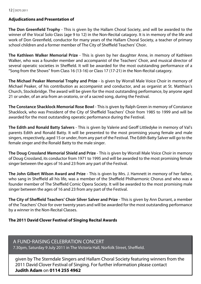#### 12 | DCFS 2011

### **Adjudications and Presentation of**

**The Don Greenfield Trophy** - This is given by the Hallam Choral Society, and will be awarded to the winner of the Vocal Solo Class (age 9 to 12) in the Non-Recital catagory. It is in memory of the life and work of Don Greenfield, conductor for many years of the Hallam Choral Society, a teacher of primary school children and a former member of The City of Sheffield Teachers' Choir.

**The Kathleen Walker Memorial Prize** - This is given by her daughter Anne, in memory of Kathleen Walker, who was a founder member and accompanist of the Teachers' Choir, and musical director of several operatic societies in Sheffield. It will be awarded for the most outstanding performance of a "Song from the Shows" from Class 16 (13-16) or Class 17 (17-21) in the Non-Recital catagory.

**The Michael Peaker Memorial Trophy and Prize** - is given by Worrall Male Voice Choir in memory of Michael Peaker, of his contribution as accompanist and conductor, and as organist at St. Matthias's Church, Stocksbridge. The award will be given for the most outstanding performance, by anyone aged 21 or under, of an aria from an oratorio, or of a sacred song, during the Festival.

**The Constance Shacklock Memorial Rose Bowl** - This is given by Ralph Green in memory of Constance Shacklock, who was President of the City of Sheffield Teachers' Choir from 1985 to 1999 and will be awarded for the most outstanding operatic performance during the Festival.

**The Edith and Ronald Batty Salvers** - This is given by Valerie and Geoff Littledyke in memory of Val's parents Edith and Ronald Batty. It will be presented to the most promising young female and male singers, respectively, aged 15 or under, from any part of the Festival. The Edith Batty Salver will go to the female singer and the Ronald Batty to the male singer.

**The Doug Crossland Memorial Shield and Prize** - This is given by Worrall Male Voice Choir in memory of Doug Crossland, its conductor from 1971 to 1995 and will be awarded to the most promising female singer between the ages of 16 and 23 from any part of the Festival.

**The John Gilbert Wilson Award and Prize** - This is given by Mrs. J. Hamnett in memory of her father, who sang in Sheffield all his life, was a member of the Sheffield Philharmonic Chorus and who was a founder member of The Sheffield Comic Opera Society. It will be awarded to the most promising male singer between the ages of 16 and 23 from any part of the Festival.

**The City of Sheffield Teachers' Choir Silver Salver and Prize** - This is given by Ann Durrant, a member of the Teachers' Choir for over twenty years and will be awarded for the most outstanding performance by a winner in the Non-Recital Classes.

### **The 2011 David Clover Festival of Singing Recital Awards**

### A Fund-raising Celebration Concert

7.30pm, Saturday 9 July 2011 in The Victoria Hall, Norfolk Street, Sheffield.

given by The Sterndale Singers and Hallam Choral Society featuring winners from the 2011 David Clover Festival of Singing. For further information please contact **Judith Adam** on **0114 255 4962**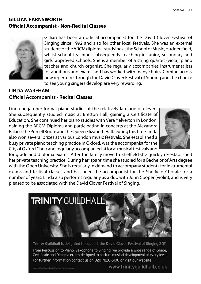### **GILLIAN FARNSWORTH Official Accompanist - Non-Recital Classes**



Gillian has been an official accompanist for the David Clover Festival of Singing since 1992 and also for other local festivals. She was an external student for the ARCM diploma, studying at the School of Music, Huddersfield, whilst school teaching, subsequently teaching in junior, secondary and girls' approved schools. She is a member of a string quartet (viola), piano teacher and church organist. She regularly accompanies instrumentalists for auditions and exams and has worked with many choirs. Coming across new repertoire through the David Clover Festival of Singing and the chance to see young singers develop are very rewarding.

### **LINDA WAREHAM Official Accompanist - Recital Classes**

Linda began her formal piano studies at the relatively late age of eleven. She subsequently studied music at Bretton Hall, gaining a Certificate of Education. She continued her piano studies with Vera Yelverton in London, gaining the ARCM Diploma and participating in concerts at the Alexandra Palace, the Purcell Room and the Queen Elizabeth Hall. During this time Linda also won several prizes at various London music festivals. She established a busy private piano teaching practice in Oxford, was the accompanist for the City of Oxford Choir and regularly accompanied at local musical festivals and



for grade and diploma exams. After the family move to Sheffield she quickly re-established her private teaching practice. During her 'spare' time she studied for a Bachelor of Arts degree with the Open University. She is regularly in demand to accompany students for instrumental exams and festival classes and has been the accompanist for the Sheffield Chorale for a number of years. Linda also performs regularly as a duo with John Cooper (violin), and is very pleased to be associated with the David Clover Festival of Singing.



Trinity Guildhall is delighted to support the David Clover Festival of Singing 2011

From Percussion to Piano, Saxophone to Singing, we provide a wide range of Grade, Certificate and Diploma exams designed to nurture musical development at every level. For further information contact us on 020 7820 6100 or visit our website

www.trinityguildhall.co.uk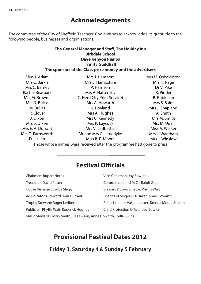# **Acknowledgements**

The committee of the City of Sheffield Teachers' Choir wishes to acknowledge its gratitude to the following people, businesses and organisations:

### **The General Manager and Staff, The Holiday Inn Birkdale School Dave Kenyon Pianos Trinity Guildhall The sponsors of the Class prize money and the advertisers**

| Miss J. Adam      | Mrs J. Hamnett              | Mrs M. Osbaldiston |
|-------------------|-----------------------------|--------------------|
| Mrs C. Barkla     | Mrs E. Hampshire            | Mrs H. Page        |
| Mrs C. Barnes     | P. Harrison                 | Dr V. Pike         |
| Rachel Bearpark   | Mrs A. Hattersley           | R. Pinder          |
| Mrs M. Browne     | C. Herd City Print Service) | <b>B.</b> Robinson |
| Mrs D. Bullas     | Mrs A. Howarth              | Mrs S. Saint       |
| M. Bullas         | K. Hoyland                  | Mrs J. Shapland    |
| R. Clover         | Mrs A. Hughes               | A. Smith           |
| J. Dixon          | Mrs C. Kennedy              | Mrs M. Smith       |
| Mrs S. Dixon      | Mrs P. Laycock              | Mrs M. Udall       |
| Mrs E. A. Durrant | Mrs V. Ledbetter            | Miss A. Walker     |
| Mrs G. Farnsworth | Mr and Mrs G. Littledyke    | Mrs L. Wareham     |
| D. Hallatt        | Miss B. E. Moore            | Mrs J. Winslow     |
|                   |                             |                    |

Those whose names were received after the programme had gone to press

# **Festival Officials**

| Chairman: Rupert Norris                  | Vice-Chairman: Joy Bowler                        |
|------------------------------------------|--------------------------------------------------|
| <b>Treasurer: David Potter</b>           | Co-ordinator and M.C.: Ralph Green               |
| House Manager: Lynda Slegg               | Stewards' Co-ordinator: Phyllis Wait             |
| Adjudicator's Steward: Ann Durrant       | Friends of Singers: Di Hallat, Anne Howarth      |
| Trophy Steward: Roger Ledbetter          | Refreshments: Val Ledbetter, Brenda Moore & team |
| Publicity: Phyllis Wait, Roderick Hughes | Child Protection Officer: Joy Bowler             |
|                                          |                                                  |

Music Stewards: Mary Smith, Jill Lawson, Anne Howarth, Della Bullas

# **Provisional Festival Dates 2012**

**Friday 3, Saturday 4 & Sunday 5 February**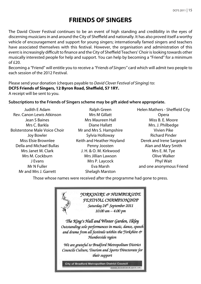# **FRIENDS OF SINGERS**

The David Clover Festival continues to be an event of high standing and credibility in the eyes of discerning musicians in and around the City of Sheffield and nationally. It has also proved itself a worthy vehicle of encouragement and support for young singers; internationally famed singers and teachers have associated themselves with this festival. However, the organisation and administration of this event is increasingly difficult to finance and the City of Sheffield Teachers' Choir is looking towards other musically interested people for help and support. You can help by becoming a "Friend" for a minimum  $of f20.$ 

Becoming a "Friend" will entitle you to receive a *"Friends of Singers"* card which will admit two people to each session of the 2012 Festival.

Please send your donation (cheques payable to *David Clover Festival of Singing*) to: **DCFS Friends of Singers, 12 Byron Road, Sheffield, S7 1RY.** A receipt will be sent to you.

### **Subscriptions to the Friends of Singers scheme may be gift aided where appropriate.**

Judith E Adam Rev. Canon Lewis Atkinson Jean S Baines Mrs C. Barkla Bolsterstone Male Voice Choir Joy Bowler Miss Elsie Brownlee Della and Michael Bullas Mrs Janet M. Clark Mrs M. Cockburn J Evans Mr N Fuller Mr and Mrs J. Garrett

Ralph Green Mrs M Gillatt Mrs Maureen Hall Diane Hallatt Mr and Mrs S. Hampshire Sylvia Holloway Keith and Heather Hoyland Penny Joosten J. H. & O. M. Kirkwood Mrs Jillian Lawson Mrs P. Laycock Eva Marsh Shelagh Marston

Helen Mathers - Sheffield City Opera Miss B. E. Moore Mrs. J. Philbedge Vivien Pike Richard Pinder Derek and Irene Sargeant Alan and Mary Smith Mrs E. M. Tye Olive Walker Phyl Wait and one anonymous Friend

Those whose names were received after the programme had gone to press.